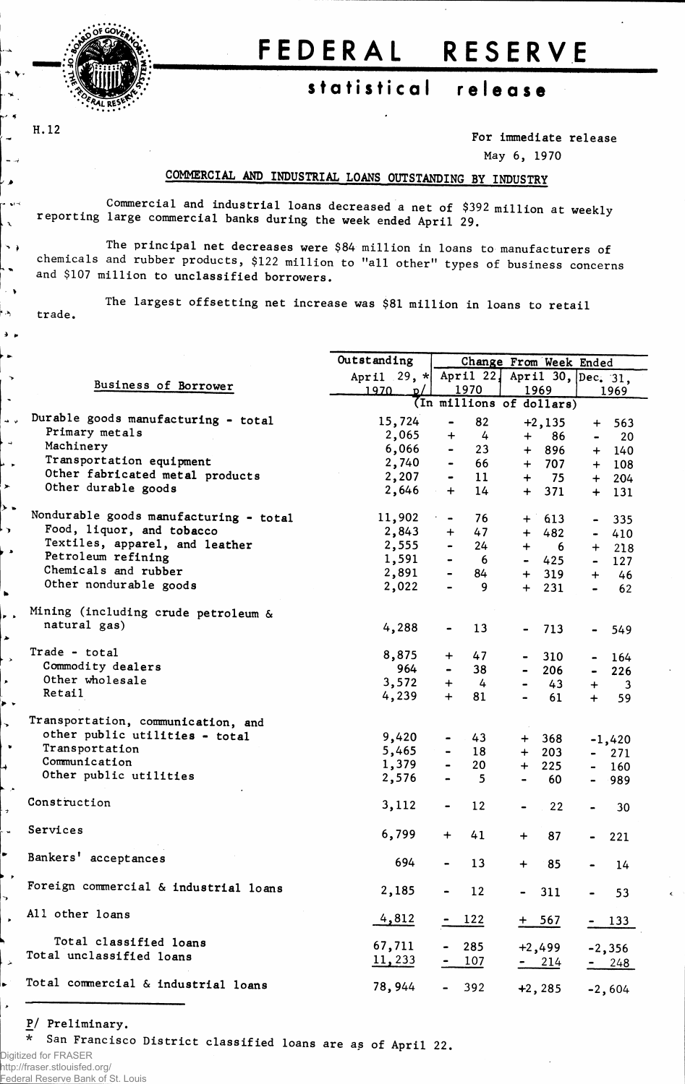

## FEDERAL RESERVE

## **statistica l releas e**

**H. 12**

 $\overline{a}$ ه ا  $\sim$   $\sim$  $\lambda$  $\rightarrow$   $\rightarrow$  $\bullet$  $\sim$   $\lambda$  $\mathbf{A}$  $\rightarrow -$ 

 $\ddot{\phantom{1}}$  $\ddot{\phantom{0}}$ ن به  $\overline{a}$  $\ddot{\phantom{1}}$ ▸  $\mathbf{v}$  $\ddot{\phantom{1}}$  $\bullet$ 

 $\bullet$ . . ۸  $\rightarrow$ 

 $\blacktriangleright$   $\blacktriangleright$ 

 $\bullet$ 

**For immediate release May 6, 1970**

## **COMMERCIAL AND INDUSTRIAL LOANS OUTSTANDING BY INDUSTRY**

**Commercial and industrial loans decreased a net of \$392 million at weekly reporting large commercial banks during the week ended April 29.**

**The principal net decreases were \$84 million in loans to manufacturers of chemicals and rubber products, \$122 million to "all other" types of business concerns and \$107 million to unclassified borrowers.**

**trade.** 

**The largest offsetting net increase was \$81 million in loans to retail**

|                                        | Outstanding                              | Change From Week Ended             |                                    |                                     |  |  |  |
|----------------------------------------|------------------------------------------|------------------------------------|------------------------------------|-------------------------------------|--|--|--|
|                                        | April 29, * April 22, April 30, Dec. 31, |                                    |                                    |                                     |  |  |  |
| Business of Borrower                   | $1970 - p/$                              | 1970                               | 1969                               |                                     |  |  |  |
|                                        |                                          | 1969<br>(In millions of dollars)   |                                    |                                     |  |  |  |
| Durable goods manufacturing - total    | 15,724                                   | 82<br>$\blacksquare$               | $+2,135$                           | $+ 563$                             |  |  |  |
| Primary metals                         | 2,065                                    | 4<br>$+$                           | $+$ $-$<br>86                      | 20<br>$\blacksquare$                |  |  |  |
| Machinery                              | 6,066                                    | 23<br>$\bullet$ .                  | $+$<br>896                         | $+ 140$                             |  |  |  |
| Transportation equipment               | 2,740                                    | 66<br>$\bullet$ .                  | $+ 707$                            | $+ 108$                             |  |  |  |
| Other fabricated metal products        | 2,207                                    | 11<br>$\bullet$                    | $+ 75$                             | $+ 204$                             |  |  |  |
| Other durable goods                    | 2,646                                    | 14<br>$+$                          | $+ 371$                            | $+ 131$                             |  |  |  |
|                                        |                                          |                                    |                                    |                                     |  |  |  |
| Nondurable goods manufacturing - total | 11,902                                   | 76<br>$\blacksquare$               | $+ 613$                            | 335<br>$\qquad \qquad \blacksquare$ |  |  |  |
| Food, liquor, and tobacco              | 2,843                                    | 47<br>$+$                          | 482<br>$+$                         | $-410$                              |  |  |  |
| Textiles, apparel, and leather         | 2,555                                    | $\blacksquare$<br>24               | $+ 6$                              | 218<br>$+$                          |  |  |  |
| Petroleum refining                     | 1,591                                    | 6<br>$\qquad \qquad \blacksquare$  | $\blacksquare$<br>425              | $-127$                              |  |  |  |
| Chemicals and rubber                   | 2,891                                    | 84<br>$\blacksquare$               | $+ 319$                            | 46<br>$+$ $-$                       |  |  |  |
| Other nondurable goods                 | 2,022                                    | 9<br>$\blacksquare$                | 231<br>$+$                         | $\blacksquare$<br>62                |  |  |  |
|                                        |                                          |                                    |                                    |                                     |  |  |  |
| Mining (including crude petroleum &    |                                          |                                    |                                    |                                     |  |  |  |
| natural gas)                           | 4,288                                    | 13<br>$\blacksquare$               | 713                                | 549<br>$\blacksquare$               |  |  |  |
| Trade - total                          |                                          |                                    |                                    |                                     |  |  |  |
|                                        | 8,875                                    | 47<br>$+$                          | 310                                | 164<br>-                            |  |  |  |
| Commodity dealers<br>Other wholesale   | 964                                      | 38<br>$\qquad \qquad \blacksquare$ | 206<br>$\blacksquare$              | 226<br>-                            |  |  |  |
| Retail                                 | 3,572                                    | $+$<br>4                           | 43                                 | $+$<br>3                            |  |  |  |
|                                        | 4,239                                    | $+$<br>81                          | 61                                 | 59<br>$+$                           |  |  |  |
| Transportation, communication, and     |                                          |                                    |                                    |                                     |  |  |  |
| other public utilities - total         | 9,420                                    | 43<br>$\blacksquare$               |                                    |                                     |  |  |  |
| Transportation                         | 5,465                                    | 18<br>$\qquad \qquad \blacksquare$ | 368<br>$+$<br>203<br>$+$           | $-1,420$                            |  |  |  |
| Communication                          | 1,379                                    | 20<br>$\qquad \qquad \blacksquare$ | 225<br>$+$                         | $-271$<br>$\frac{1}{2}$             |  |  |  |
| Other public utilities                 | 2,576                                    | 5<br>$\blacksquare$                | 60<br>$\qquad \qquad \blacksquare$ | 160<br>989<br>$\blacksquare$        |  |  |  |
|                                        |                                          |                                    |                                    |                                     |  |  |  |
| Construction                           | 3,112                                    | 12<br>$\blacksquare$               | 22<br>$\qquad \qquad \blacksquare$ | 30                                  |  |  |  |
|                                        |                                          |                                    |                                    |                                     |  |  |  |
| Services                               | 6,799                                    | 41<br>$\div$                       | 87<br>$\div$                       | 221                                 |  |  |  |
| Bankers' acceptances                   |                                          |                                    |                                    |                                     |  |  |  |
|                                        | 694                                      | 13<br>$\blacksquare$               | 85<br>$+$                          | 14                                  |  |  |  |
| Foreign commercial & industrial loans  |                                          |                                    |                                    |                                     |  |  |  |
|                                        | 2,185                                    | 12 <sub>2</sub><br>$\blacksquare$  | 311                                | 53                                  |  |  |  |
| All other loans                        | 4,812                                    | <u>122</u>                         |                                    |                                     |  |  |  |
|                                        |                                          |                                    | $+ 567$                            | $-133$                              |  |  |  |
| Total classified loans                 | 67,711                                   | 285                                | $+2,499$                           | $-2,356$                            |  |  |  |
| Total unclassified loans               | <u>11,233</u>                            | <u>107</u>                         | $-214$                             | $-248$                              |  |  |  |
|                                        |                                          |                                    |                                    |                                     |  |  |  |
| Total commercial & industrial loans    | 78,944                                   | 392                                | $+2, 285$                          | $-2,604$                            |  |  |  |
|                                        |                                          |                                    |                                    |                                     |  |  |  |

**P/ Preliminary.**

**\* S a <sup>n</sup> Francisco District classified loans are as of April 22.**

Digitized for FRASER http://fraser.stlouisfed.org/

deral Reserve Bank of St. Louis